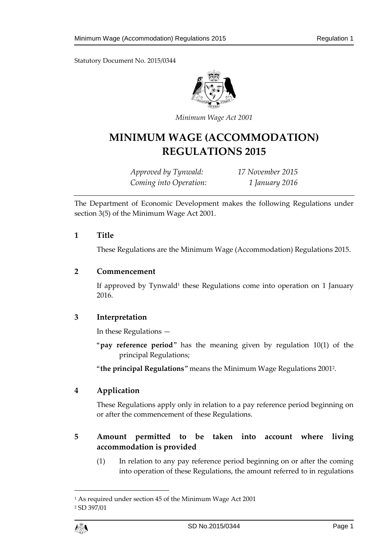

*Minimum Wage Act 2001*

# **MINIMUM WAGE (ACCOMMODATION) REGULATIONS 2015**

*Approved by Tynwald: 17 November 2015 Coming into Operation: 1 January 2016*

The Department of Economic Development makes the following Regulations under section 3(5) of the Minimum Wage Act 2001.

## **1 Title**

These Regulations are the Minimum Wage (Accommodation) Regulations 2015.

## **2 Commencement**

If approved by Tynwald<sup>1</sup> these Regulations come into operation on 1 January 2016.

## **3 Interpretation**

In these Regulations —

"**pay reference period**" has the meaning given by regulation 10(1) of the principal Regulations;

"**the principal Regulations**" means the Minimum Wage Regulations 2001<sup>2</sup> .

## **4 Application**

These Regulations apply only in relation to a pay reference period beginning on or after the commencement of these Regulations.

## **5 Amount permitted to be taken into account where living accommodation is provided**

(1) In relation to any pay reference period beginning on or after the coming into operation of these Regulations, the amount referred to in regulations

 $\overline{a}$ 

<sup>1</sup> As required under section 45 of the Minimum Wage Act 2001 <sup>2</sup> SD 397/01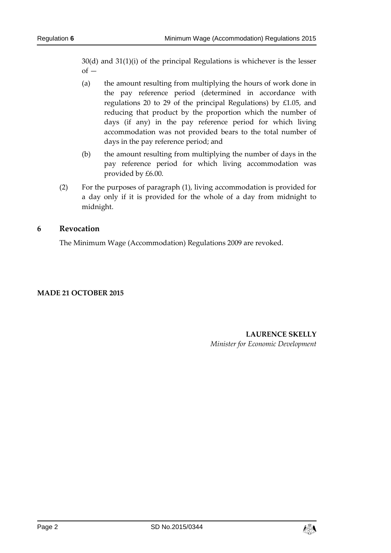30(d) and 31(1)(i) of the principal Regulations is whichever is the lesser  $of -$ 

- (a) the amount resulting from multiplying the hours of work done in the pay reference period (determined in accordance with regulations 20 to 29 of the principal Regulations) by £1.05, and reducing that product by the proportion which the number of days (if any) in the pay reference period for which living accommodation was not provided bears to the total number of days in the pay reference period; and
- (b) the amount resulting from multiplying the number of days in the pay reference period for which living accommodation was provided by £6.00.
- (2) For the purposes of paragraph (1), living accommodation is provided for a day only if it is provided for the whole of a day from midnight to midnight.

## **6 Revocation**

The Minimum Wage (Accommodation) Regulations 2009 are revoked.

## **MADE 21 OCTOBER 2015**

**LAURENCE SKELLY** *Minister for Economic Development*